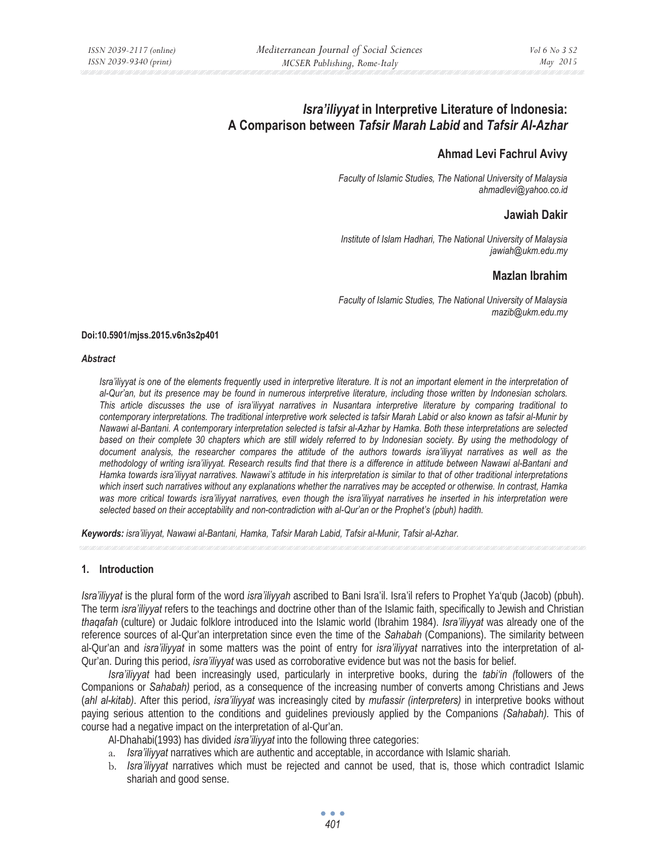# *Isra'iliyyat* **in Interpretive Literature of Indonesia: A Comparison between** *Tafsir Marah Labid* **and** *Tafsir Al-Azhar*

## **Ahmad Levi Fachrul Avivy**

*Faculty of Islamic Studies, The National University of Malaysia ahmadlevi@yahoo.co.id* 

## **Jawiah Dakir**

*Institute of Islam Hadhari, The National University of Malaysia jawiah@ukm.edu.my* 

## **Mazlan Ibrahim**

*Faculty of Islamic Studies, The National University of Malaysia mazib@ukm.edu.my* 

### **Doi:10.5901/mjss.2015.v6n3s2p401**

#### *Abstract*

*Isra'iliyyat is one of the elements frequently used in interpretive literature. It is not an important element in the interpretation of al-Qur'an, but its presence may be found in numerous interpretive literature, including those written by Indonesian scholars. This article discusses the use of isra'iliyyat narratives in Nusantara interpretive literature by comparing traditional to contemporary interpretations. The traditional interpretive work selected is tafsir Marah Labid or also known as tafsir al-Munir by Nawawi al-Bantani. A contemporary interpretation selected is tafsir al-Azhar by Hamka. Both these interpretations are selected*  based on their complete 30 chapters which are still widely referred to by Indonesian society. By using the methodology of document analysis, the researcher compares the attitude of the authors towards isra'iliyyat narratives as well as the *methodology of writing isra'iliyyat. Research results find that there is a difference in attitude between Nawawi al-Bantani and Hamka towards isra'iliyyat narratives. Nawawi's attitude in his interpretation is similar to that of other traditional interpretations which insert such narratives without any explanations whether the narratives may be accepted or otherwise. In contrast, Hamka*  was more critical towards isra'iliyyat narratives, even though the isra'iliyyat narratives he inserted in his interpretation were *selected based on their acceptability and non-contradiction with al-Qur'an or the Prophet's (pbuh) hadith.* 

*Keywords: isra'iliyyat, Nawawi al-Bantani, Hamka, Tafsir Marah Labid, Tafsir al-Munir, Tafsir al-Azhar.*

## **1. Introduction**

*Isra'iliyyat* is the plural form of the word *isra'iliyyah* ascribed to Bani Isra'il. Isra'il refers to Prophet Ya'qub (Jacob) (pbuh). The term *isra'iliyyat* refers to the teachings and doctrine other than of the Islamic faith, specifically to Jewish and Christian *thaqafah* (culture) or Judaic folklore introduced into the Islamic world (Ibrahim 1984). *Isra'iliyyat* was already one of the reference sources of al-Qur'an interpretation since even the time of the *Sahabah* (Companions). The similarity between al-Qur'an and *isra'iliyyat* in some matters was the point of entry for *isra'iliyyat* narratives into the interpretation of al-Qur'an. During this period, *isra'iliyyat* was used as corroborative evidence but was not the basis for belief.

*Isra'iliyyat* had been increasingly used, particularly in interpretive books, during the *tabi'in (*followers of the Companions or *Sahabah)* period, as a consequence of the increasing number of converts among Christians and Jews (*ahl al-kitab)*. After this period, *isra'iliyyat* was increasingly cited by *mufassir (interpreters)* in interpretive books without paying serious attention to the conditions and guidelines previously applied by the Companions *(Sahabah).* This of course had a negative impact on the interpretation of al-Qur'an.

Al-Dhahabi(1993) has divided *isra'iliyyat* into the following three categories:

- a. *Isra'iliyyat* narratives which are authentic and acceptable, in accordance with Islamic shariah*.*
- b. *Isra'iliyyat* narratives which must be rejected and cannot be used*,* that is, those which contradict Islamic shariah and good sense.

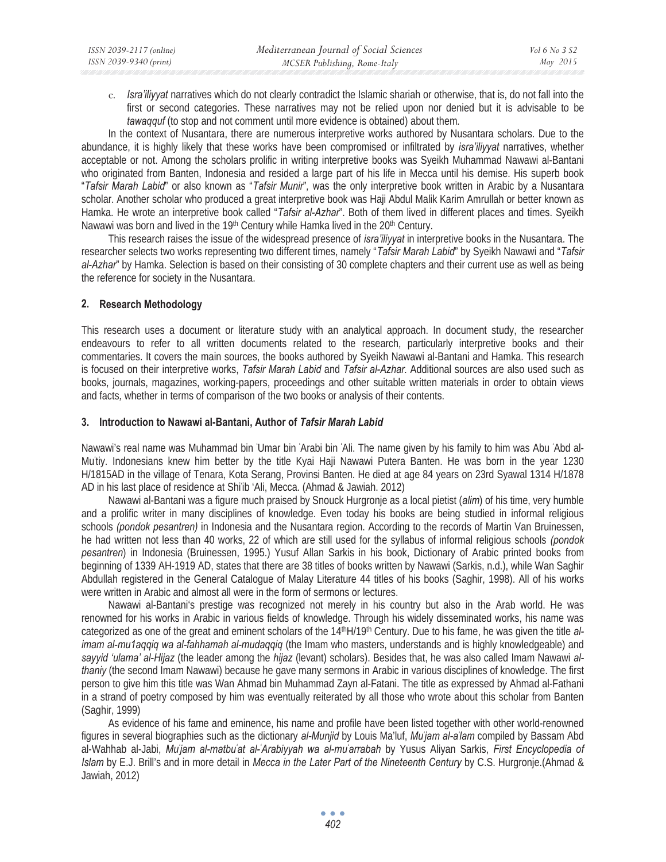c. *Isra'iliyyat* narratives which do not clearly contradict the Islamic shariah or otherwise, that is, do not fall into the first or second categories. These narratives may not be relied upon nor denied but it is advisable to be *tawaqquf* (to stop and not comment until more evidence is obtained) about them*.*

In the context of Nusantara, there are numerous interpretive works authored by Nusantara scholars. Due to the abundance, it is highly likely that these works have been compromised or infiltrated by *isra'iliyyat* narratives, whether acceptable or not. Among the scholars prolific in writing interpretive books was Syeikh Muhammad Nawawi al-Bantani who originated from Banten, Indonesia and resided a large part of his life in Mecca until his demise. His superb book "*Tafsir Marah Labid*" or also known as "*Tafsir Munir*"*,* was the only interpretive book written in Arabic by a Nusantara scholar. Another scholar who produced a great interpretive book was Haji Abdul Malik Karim Amrullah or better known as Hamka. He wrote an interpretive book called "*Tafsir al-Azhar*". Both of them lived in different places and times. Syeikh Nawawi was born and lived in the 19<sup>th</sup> Century while Hamka lived in the 20<sup>th</sup> Century.

This research raises the issue of the widespread presence of *isra'iliyyat* in interpretive books in the Nusantara. The researcher selects two works representing two different times, namely "*Tafsir Marah Labid*" by Syeikh Nawawi and "*Tafsir al-Azhar*" by Hamka. Selection is based on their consisting of 30 complete chapters and their current use as well as being the reference for society in the Nusantara.

## **2. Research Methodology**

This research uses a document or literature study with an analytical approach. In document study, the researcher endeavours to refer to all written documents related to the research, particularly interpretive books and their commentaries. It covers the main sources, the books authored by Syeikh Nawawi al-Bantani and Hamka. This research is focused on their interpretive works, *Tafsir Marah Labid* and *Tafsir al-Azhar.* Additional sources are also used such as books, journals, magazines, working-papers, proceedings and other suitable written materials in order to obtain views and facts*,* whether in terms of comparison of the two books or analysis of their contents.

## **3. Introduction to Nawawi al-Bantani, Author of** *Tafsir Marah Labid*

Nawawi's real name was Muhammad bin 'Umar bin 'Arabi bin 'Ali. The name given by his family to him was Abu 'Abd al-Mu' tiy. Indonesians knew him better by the title Kyai Haji Nawawi Putera Banten. He was born in the year 1230 H/1815AD in the village of Tenara, Kota Serang, Provinsi Banten. He died at age 84 years on 23rd Syawal 1314 H/1878 AD in his last place of residence at Shi'ib 'Ali, Mecca. (Ahmad & Jawiah. 2012)

Nawawi al-Bantani was a figure much praised by Snouck Hurgronje as a local pietist (*alim*) of his time, very humble and a prolific writer in many disciplines of knowledge. Even today his books are being studied in informal religious schools *(pondok pesantren)* in Indonesia and the Nusantara region. According to the records of Martin Van Bruinessen, he had written not less than 40 works, 22 of which are still used for the syllabus of informal religious schools *(pondok pesantren*) in Indonesia (Bruinessen, 1995.) Yusuf Allan Sarkis in his book, Dictionary of Arabic printed books from beginning of 1339 AH-1919 AD, states that there are 38 titles of books written by Nawawi (Sarkis, n.d.), while Wan Saghir Abdullah registered in the General Catalogue of Malay Literature 44 titles of his books (Saghir, 1998). All of his works were written in Arabic and almost all were in the form of sermons or lectures.

Nawawi al-Bantani's prestige was recognized not merely in his country but also in the Arab world. He was renowned for his works in Arabic in various fields of knowledge. Through his widely disseminated works, his name was categorized as one of the great and eminent scholars of the 14<sup>th</sup>H/19<sup>th</sup> Century. Due to his fame, he was given the title al*imam al-mu1aqqiq wa al-fahhamah al-mudaqqiq* (the Imam who masters, understands and is highly knowledgeable) and *sayyid 'ulama' al-Hijaz* (the leader among the *hijaz* (levant) scholars). Besides that, he was also called Imam Nawawi *althaniy* (the second Imam Nawawi) because he gave many sermons in Arabic in various disciplines of knowledge. The first person to give him this title was Wan Ahmad bin Muhammad Zayn al-Fatani. The title as expressed by Ahmad al-Fathani in a strand of poetry composed by him was eventually reiterated by all those who wrote about this scholar from Banten (Saghir, 1999)

As evidence of his fame and eminence, his name and profile have been listed together with other world-renowned figures in several biographies such as the dictionary *al-Munjid* by Louis Ma'luf, *Mu' jam al-a' lam* compiled by Bassam Abd al-Wahhab al-Jabi, *Mu'jam al-matbu'at al-'Arabiyyah wa al-mu'arrabah* by Yusus Aliyan Sarkis, *First Encyclopedia of Islam* by E.J. Brill's and in more detail in *Mecca in the Later Part of the Nineteenth Century* by C.S. Hurgronje.(Ahmad & Jawiah, 2012)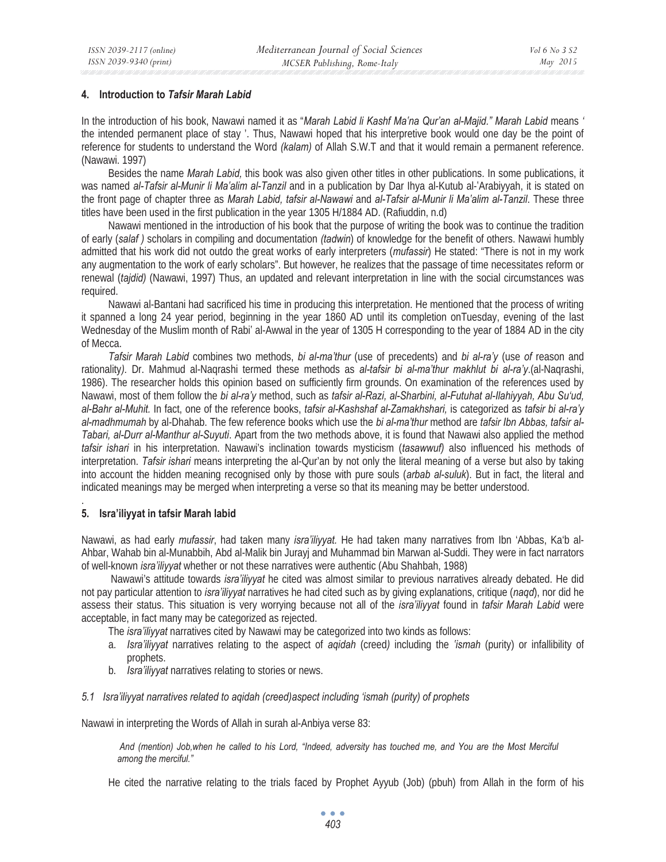### **4. Introduction to** *Tafsir Marah Labid*

In the introduction of his book, Nawawi named it as "Marah Labid li Kashf Ma'na Qur'an al-Majid." Marah Labid means ' the intended permanent place of stay '. Thus, Nawawi hoped that his interpretive book would one day be the point of reference for students to understand the Word *(kalam)* of Allah S.W.T and that it would remain a permanent reference. (Nawawi. 1997)

Besides the name *Marah Labid,* this book was also given other titles in other publications. In some publications, it was named *al-Tafsir al-Munir li Ma'alim al-Tanzil* and in a publication by Dar Ihya al-Kutub al-'Arabiyyah, it is stated on the front page of chapter three as *Marah Labid, tafsir al-Nawawi* and *al-Tafsir al-Munir li Maǥalim al-Tanzil*. These three titles have been used in the first publication in the year 1305 H/1884 AD. (Rafiuddin, n.d)

Nawawi mentioned in the introduction of his book that the purpose of writing the book was to continue the tradition of early (*salaf )* scholars in compiling and documentation *(tadwin*) of knowledge for the benefit of others. Nawawi humbly admitted that his work did not outdo the great works of early interpreters (*mufassir*) He stated: "There is not in my work any augmentation to the work of early scholars". But however, he realizes that the passage of time necessitates reform or renewal (*tajdid)* (Nawawi, 1997) Thus, an updated and relevant interpretation in line with the social circumstances was required.

Nawawi al-Bantani had sacrificed his time in producing this interpretation. He mentioned that the process of writing it spanned a long 24 year period, beginning in the year 1860 AD until its completion onTuesday, evening of the last Wednesday of the Muslim month of Rabi' al-Awwal in the year of 1305 H corresponding to the year of 1884 AD in the city of Mecca.

*Tafsir Marah Labid* combines two methods, *bi al-ma'thur* (use of precedents) and *bi al-ra'y* (use *of* reason and rationality*).* Dr. Mahmud al-Naqrashi termed these methods as *al-tafsir bi al-ma'thur makhlut bi al-ra'y*.(al-Naqrashi, 1986). The researcher holds this opinion based on sufficiently firm grounds. On examination of the references used by Nawawi, most of them follow the *bi al-ra'y* method, such as *tafsir al-Razi, al-Sharbini, al-Futuhat al-Ilahiyyah, Abu Su'ud, al-Bahr al-Muhit.* In fact, one of the reference books, *tafsir al-Kashshaf al-Zamakhshari,* is categorized as *tafsir bi al-ra'y al-madhmumah* by al-Dhahab. The few reference books which use the *bi al-ma'thur* method are *tafsir Ibn Abbas, tafsir al-Tabari, al-Durr al-Manthur al-Suyuti*. Apart from the two methods above, it is found that Nawawi also applied the method *tafsir ishari* in his interpretation. Nawawi's inclination towards mysticism (*tasawwuf)* also influenced his methods of interpretation. *Tafsir ishari* means interpreting the al-Qur'an by not only the literal meaning of a verse but also by taking into account the hidden meaning recognised only by those with pure souls (*arbab al-suluk*). But in fact, the literal and indicated meanings may be merged when interpreting a verse so that its meaning may be better understood.

## **5. Isra'iliyyat in tafsir Marah labid**

.

Nawawi, as had early *mufassir*, had taken many *isra'iliyyat.* He had taken many narratives from Ibn 'Abbas, Ka'b al-Ahbar, Wahab bin al-Munabbih, Abd al-Malik bin Jurayj and Muhammad bin Marwan al-Suddi. They were in fact narrators of well-known *isra'iliyyat* whether or not these narratives were authentic (Abu Shahbah, 1988)

 Nawawi's attitude towards *isra'iliyyat* he cited was almost similar to previous narratives already debated. He did not pay particular attention to *isra'iliyyat* narratives he had cited such as by giving explanations, critique (*naqd*), nor did he assess their status. This situation is very worrying because not all of the *isra'iliyyat* found in *tafsir Marah Labid* were acceptable, in fact many may be categorized as rejected.

The *isra'iliyyat* narratives cited by Nawawi may be categorized into two kinds as follows:

- a. *Isra'iliyyat* narratives relating to the aspect of *aqidah* (creed*)* including the *ǥismah* (purity) or infallibility of prophets.
- b. *Isra'iliyyat* narratives relating to stories or news.

### *5.1 Isra'iliyyat narratives related to aqidah (creed)aspect including 'ismah (purity) of prophets*

Nawawi in interpreting the Words of Allah in surah al-Anbiya verse 83:

 *And (mention) Job,when he called to his Lord, "Indeed, adversity has touched me, and You are the Most Merciful among the merciful."* 

He cited the narrative relating to the trials faced by Prophet Ayyub (Job) (pbuh) from Allah in the form of his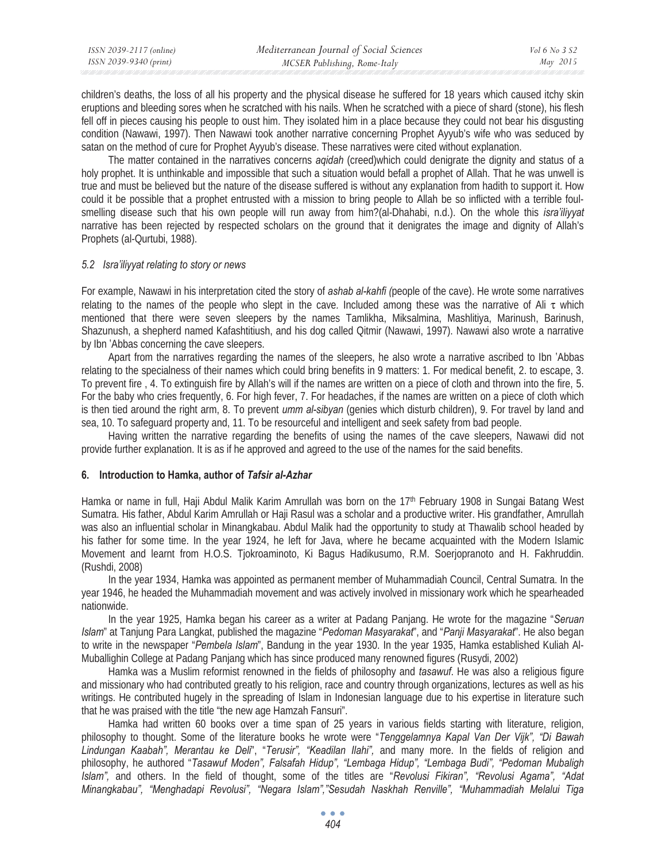| ISSN 2039-2117 (online) | Mediterranean Journal of Social Sciences | Vol 6 No 3 S2 |
|-------------------------|------------------------------------------|---------------|
| ISSN 2039-9340 (print)  | MCSER Publishing, Rome-Italy             | May 2015      |
|                         |                                          |               |

children's deaths, the loss of all his property and the physical disease he suffered for 18 years which caused itchy skin eruptions and bleeding sores when he scratched with his nails. When he scratched with a piece of shard (stone), his flesh fell off in pieces causing his people to oust him. They isolated him in a place because they could not bear his disgusting condition (Nawawi, 1997). Then Nawawi took another narrative concerning Prophet Ayyub's wife who was seduced by satan on the method of cure for Prophet Ayyub's disease. These narratives were cited without explanation.

The matter contained in the narratives concerns *aqidah* (creed)which could denigrate the dignity and status of a holy prophet. It is unthinkable and impossible that such a situation would befall a prophet of Allah. That he was unwell is true and must be believed but the nature of the disease suffered is without any explanation from hadith to support it. How could it be possible that a prophet entrusted with a mission to bring people to Allah be so inflicted with a terrible foulsmelling disease such that his own people will run away from him?(al-Dhahabi, n.d.). On the whole this *isra'iliyyat*  narrative has been rejected by respected scholars on the ground that it denigrates the image and dignity of Allah's Prophets (al-Qurtubi, 1988).

### *5.2 Isra'iliyyat relating to story or news*

For example, Nawawi in his interpretation cited the story of *ashab al-kahfi (*people of the cave). He wrote some narratives relating to the names of the people who slept in the cave*.* Included among these was the narrative of Ali τ which mentioned that there were seven sleepers by the names Tamlikha, Miksalmina, Mashlitiya, Marinush, Barinush, Shazunush, a shepherd named Kafashtitiush, and his dog called Qitmir (Nawawi, 1997). Nawawi also wrote a narrative by Ibn 'Abbas concerning the cave sleepers.

Apart from the narratives regarding the names of the sleepers, he also wrote a narrative ascribed to Ibn 'Abbas relating to the specialness of their names which could bring benefits in 9 matters: 1. For medical benefit, 2. to escape, 3. To prevent fire , 4. To extinguish fire by Allah's will if the names are written on a piece of cloth and thrown into the fire, 5. For the baby who cries frequently, 6. For high fever, 7. For headaches, if the names are written on a piece of cloth which is then tied around the right arm, 8. To prevent *umm al-sibyan* (genies which disturb children), 9. For travel by land and sea, 10. To safeguard property and, 11. To be resourceful and intelligent and seek safety from bad people.

Having written the narrative regarding the benefits of using the names of the cave sleepers, Nawawi did not provide further explanation. It is as if he approved and agreed to the use of the names for the said benefits.

#### **6. Introduction to Hamka, author of** *Tafsir al-Azhar*

Hamka or name in full, Haji Abdul Malik Karim Amrullah was born on the 17<sup>th</sup> February 1908 in Sungai Batang West Sumatra. His father, Abdul Karim Amrullah or Haji Rasul was a scholar and a productive writer. His grandfather, Amrullah was also an influential scholar in Minangkabau. Abdul Malik had the opportunity to study at Thawalib school headed by his father for some time. In the year 1924, he left for Java, where he became acquainted with the Modern Islamic Movement and learnt from H.O.S. Tjokroaminoto, Ki Bagus Hadikusumo, R.M. Soerjopranoto and H. Fakhruddin. (Rushdi, 2008)

In the year 1934, Hamka was appointed as permanent member of Muhammadiah Council, Central Sumatra. In the year 1946, he headed the Muhammadiah movement and was actively involved in missionary work which he spearheaded nationwide.

In the year 1925, Hamka began his career as a writer at Padang Panjang. He wrote for the magazine "*Seruan Islam*" at Tanjung Para Langkat, published the magazine "*Pedoman Masyarakat*", and "*Panji Masyarakat*". He also began to write in the newspaper "*Pembela Islam*", Bandung in the year 1930. In the year 1935, Hamka established Kuliah Al-Muballighin College at Padang Panjang which has since produced many renowned figures (Rusydi, 2002)

Hamka was a Muslim reformist renowned in the fields of philosophy and *tasawuf*. He was also a religious figure and missionary who had contributed greatly to his religion, race and country through organizations, lectures as well as his writings. He contributed hugely in the spreading of Islam in Indonesian language due to his expertise in literature such that he was praised with the title "the new age Hamzah Fansuri".

Hamka had written 60 books over a time span of 25 years in various fields starting with literature, religion, philosophy to thought. Some of the literature books he wrote were "*Tenggelamnya Kapal Van Der Vijk", "Di Bawah Lindungan Kaabah", Merantau ke Deli*", "*Terusir", "Keadilan Ilahi",* and many more. In the fields of religion and philosophy, he authored "*Tasawuf Moden", Falsafah Hidup", "Lembaga Hidup", "Lembaga Budi", "Pedoman Mubaligh Islam",* and others. In the field of thought, some of the titles are "*Revolusi Fikiran", "Revolusi Agama", "Adat Minangkabau", "Menghadapi Revolusi", "Negara Islam","Sesudah Naskhah Renville", "Muhammadiah Melalui Tiga*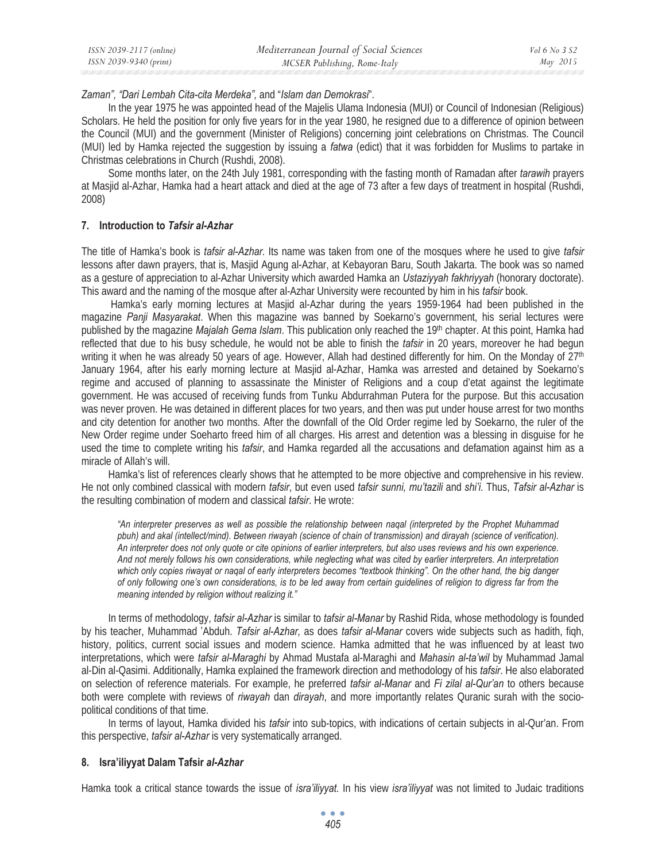*Zaman", "Dari Lembah Cita-cita Merdeka",* and "*Islam dan Demokrasi*".

In the year 1975 he was appointed head of the Majelis Ulama Indonesia (MUI) or Council of Indonesian (Religious) Scholars. He held the position for only five years for in the year 1980, he resigned due to a difference of opinion between the Council (MUI) and the government (Minister of Religions) concerning joint celebrations on Christmas. The Council (MUI) led by Hamka rejected the suggestion by issuing a *fatwa* (edict) that it was forbidden for Muslims to partake in Christmas celebrations in Church (Rushdi, 2008).

Some months later, on the 24th July 1981, corresponding with the fasting month of Ramadan after *tarawih* prayers at Masjid al-Azhar, Hamka had a heart attack and died at the age of 73 after a few days of treatment in hospital (Rushdi, 2008)

### **7. Introduction to** *Tafsir al-Azhar*

The title of Hamka's book is *tafsir al-Azhar.* Its name was taken from one of the mosques where he used to give *tafsir* lessons after dawn prayers, that is, Masjid Agung al-Azhar, at Kebayoran Baru, South Jakarta. The book was so named as a gesture of appreciation to al-Azhar University which awarded Hamka an *Ustaziyyah fakhriyyah* (honorary doctorate). This award and the naming of the mosque after al-Azhar University were recounted by him in his *tafsir* book.

 Hamka's early morning lectures at Masjid al-Azhar during the years 1959-1964 had been published in the magazine *Panji Masyarakat*. When this magazine was banned by Soekarno's government, his serial lectures were published by the magazine *Majalah Gema Islam*. This publication only reached the 19th chapter. At this point, Hamka had reflected that due to his busy schedule, he would not be able to finish the *tafsir* in 20 years, moreover he had begun writing it when he was already 50 years of age. However, Allah had destined differently for him. On the Monday of  $27<sup>th</sup>$ January 1964, after his early morning lecture at Masjid al-Azhar, Hamka was arrested and detained by Soekarno's regime and accused of planning to assassinate the Minister of Religions and a coup d'etat against the legitimate government. He was accused of receiving funds from Tunku Abdurrahman Putera for the purpose. But this accusation was never proven. He was detained in different places for two years, and then was put under house arrest for two months and city detention for another two months. After the downfall of the Old Order regime led by Soekarno, the ruler of the New Order regime under Soeharto freed him of all charges. His arrest and detention was a blessing in disguise for he used the time to complete writing his *tafsir*, and Hamka regarded all the accusations and defamation against him as a miracle of Allah's will.

Hamka's list of references clearly shows that he attempted to be more objective and comprehensive in his review. He not only combined classical with modern *tafsir*, but even used *tafsir sunni, mu'tazili* and *shi'i.* Thus, Tafsir al-Azhar is the resulting combination of modern and classical *tafsir*. He wrote:

*"An interpreter preserves as well as possible the relationship between naqal (interpreted by the Prophet Muhammad pbuh) and akal (intellect/mind). Between riwayah (science of chain of transmission) and dirayah (science of verification). An interpreter does not only quote or cite opinions of earlier interpreters, but also uses reviews and his own experience. And not merely follows his own considerations, while neglecting what was cited by earlier interpreters. An interpretation which only copies riwayat or naqal of early interpreters becomes "textbook thinking". On the other hand, the big danger of only following one's own considerations, is to be led away from certain guidelines of religion to digress far from the meaning intended by religion without realizing it."* 

In terms of methodology, *tafsir al-Azhar* is similar to *tafsir al-Manar* by Rashid Rida, whose methodology is founded by his teacher, Muhammad ǥAbduh. *Tafsir al-Azhar,* as does *tafsir al-Manar* covers wide subjects such as hadith, fiqh, history, politics, current social issues and modern science. Hamka admitted that he was influenced by at least two interpretations, which were *tafsir al-Maraghi* by Ahmad Mustafa al-Maraghi and *Mahasin al-ta'wil* by Muhammad Jamal al-Din al-Qasimi. Additionally, Hamka explained the framework direction and methodology of his *tafsir*. He also elaborated on selection of reference materials. For example, he preferred *tafsir al-Manar* and *Fi zilal al-Qur'an* to others because both were complete with reviews of *riwayah* dan *dirayah*, and more importantly relates Quranic surah with the sociopolitical conditions of that time.

In terms of layout, Hamka divided his *tafsir* into sub-topics, with indications of certain subjects in al-Qur'an. From this perspective, *tafsir al-Azhar* is very systematically arranged.

#### **8. Isra'iliyyat Dalam Tafsir** *al-Azhar*

Hamka took a critical stance towards the issue of *isra'iliyyat.* In his view *isra'iliyyat* was not limited to Judaic traditions

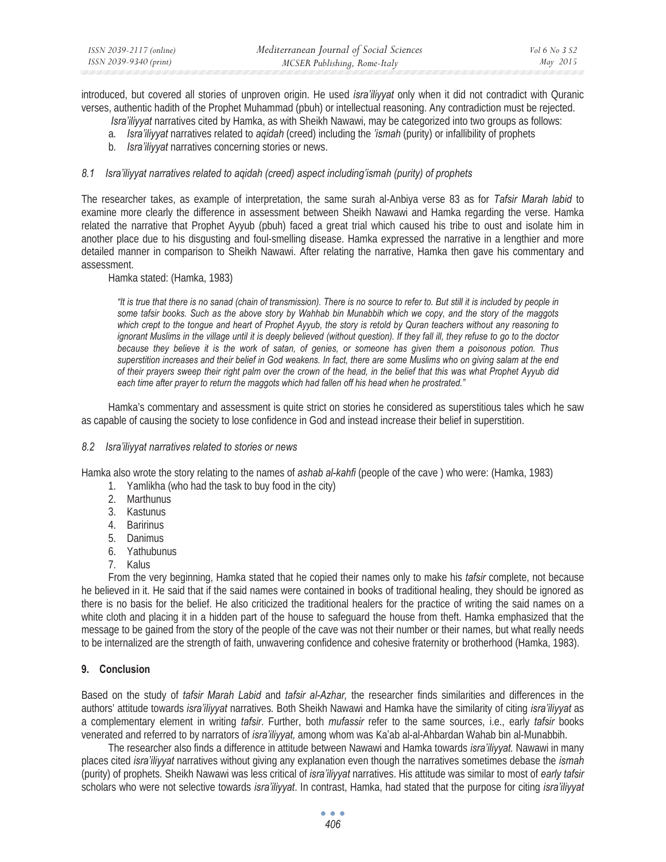introduced, but covered all stories of unproven origin. He used *isra'iliyyat* only when it did not contradict with Quranic verses, authentic hadith of the Prophet Muhammad (pbuh) or intellectual reasoning. Any contradiction must be rejected.

- *Isra'iliyyat* narratives cited by Hamka, as with Sheikh Nawawi, may be categorized into two groups as follows:
- a. *Isra'iliyyat* narratives related to *agidah* (creed) including the '*ismah* (purity) or infallibility of prophets
- b. *Isra'iliyyat* narratives concerning stories or news.

## 8.1 Isra'iliyyat narratives related to aqidah (creed) aspect including ismah (purity) of prophets

The researcher takes, as example of interpretation, the same surah al-Anbiya verse 83 as for *Tafsir Marah labid* to examine more clearly the difference in assessment between Sheikh Nawawi and Hamka regarding the verse. Hamka related the narrative that Prophet Ayyub (pbuh) faced a great trial which caused his tribe to oust and isolate him in another place due to his disgusting and foul-smelling disease. Hamka expressed the narrative in a lengthier and more detailed manner in comparison to Sheikh Nawawi. After relating the narrative, Hamka then gave his commentary and assessment.

Hamka stated: (Hamka, 1983)

*"It is true that there is no sanad (chain of transmission). There is no source to refer to. But still it is included by people in some tafsir books. Such as the above story by Wahhab bin Munabbih which we copy, and the story of the maggots which crept to the tongue and heart of Prophet Ayyub, the story is retold by Quran teachers without any reasoning to ignorant Muslims in the village until it is deeply believed (without question). If they fall ill, they refuse to go to the doctor because they believe it is the work of satan, of genies, or someone has given them a poisonous potion. Thus superstition increases and their belief in God weakens. In fact, there are some Muslims who on giving salam at the end of their prayers sweep their right palm over the crown of the head, in the belief that this was what Prophet Ayyub did each time after prayer to return the maggots which had fallen off his head when he prostrated."* 

Hamka's commentary and assessment is quite strict on stories he considered as superstitious tales which he saw as capable of causing the society to lose confidence in God and instead increase their belief in superstition.

## *8.2 Isra'iliyyat narratives related to stories or news*

Hamka also wrote the story relating to the names of *ashab al-kahfi* (people of the cave ) who were: (Hamka, 1983)

- 1. Yamlikha (who had the task to buy food in the city)
- 2. Marthunus
- 3. Kastunus
- 4. Baririnus
- 5. Danimus
- 6. Yathubunus
- 7. Kalus

From the very beginning, Hamka stated that he copied their names only to make his *tafsir* complete, not because he believed in it. He said that if the said names were contained in books of traditional healing, they should be ignored as there is no basis for the belief. He also criticized the traditional healers for the practice of writing the said names on a white cloth and placing it in a hidden part of the house to safeguard the house from theft. Hamka emphasized that the message to be gained from the story of the people of the cave was not their number or their names, but what really needs to be internalized are the strength of faith, unwavering confidence and cohesive fraternity or brotherhood (Hamka, 1983).

## **9. Conclusion**

Based on the study of *tafsir Marah Labid* and *tafsir al-Azhar,* the researcher finds similarities and differences in the authors' attitude towards *isra'iliyyat* narratives*.* Both Sheikh Nawawi and Hamka have the similarity of citing *isra'iliyyat* as a complementary element in writing *tafsir*. Further, both *mufassir* refer to the same sources, i.e., early *tafsir* books venerated and referred to by narrators of *isra'iliyyat*, among whom was Ka'ab al-al-Ahbardan Wahab bin al-Munabbih.

The researcher also finds a difference in attitude between Nawawi and Hamka towards *isra'iliyyat.* Nawawi in many places cited *isra'iliyyat* narratives without giving any explanation even though the narratives sometimes debase the *ismah*  (purity) of prophets*.* Sheikh Nawawi was less critical of *isra'iliyyat* narratives. His attitude was similar to most of *early tafsir* scholars who were not selective towards *isra'iliyyat*. In contrast, Hamka, had stated that the purpose for citing *isra'iliyyat*